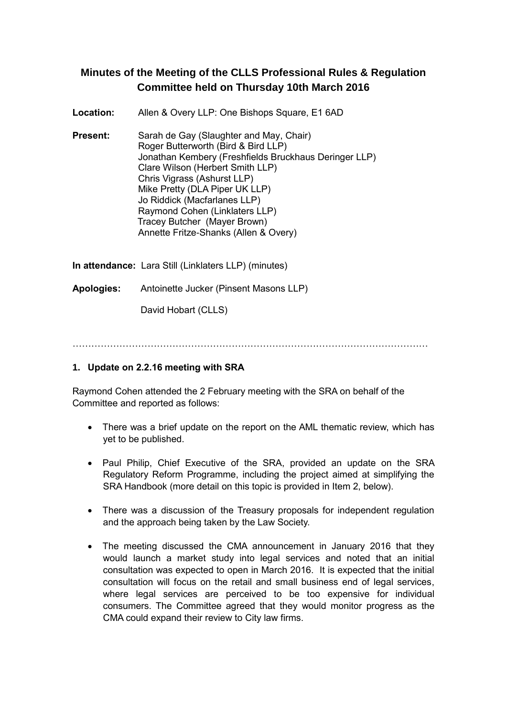# **Minutes of the Meeting of the CLLS Professional Rules & Regulation Committee held on Thursday 10th March 2016**

**Location:** Allen & Overy LLP: One Bishops Square, E1 6AD

**Present:** Sarah de Gay (Slaughter and May, Chair) Roger Butterworth (Bird & Bird LLP) Jonathan Kembery (Freshfields Bruckhaus Deringer LLP) Clare Wilson (Herbert Smith LLP) Chris Vigrass (Ashurst LLP) Mike Pretty (DLA Piper UK LLP) Jo Riddick (Macfarlanes LLP) Raymond Cohen (Linklaters LLP) Tracey Butcher (Mayer Brown) Annette Fritze-Shanks (Allen & Overy)

**In attendance:** Lara Still (Linklaters LLP) (minutes)

**Apologies:** Antoinette Jucker (Pinsent Masons LLP)

David Hobart (CLLS)

……………………………………………………………………………………………………

### **1. Update on 2.2.16 meeting with SRA**

Raymond Cohen attended the 2 February meeting with the SRA on behalf of the Committee and reported as follows:

- There was a brief update on the report on the AML thematic review, which has yet to be published.
- Paul Philip, Chief Executive of the SRA, provided an update on the SRA Regulatory Reform Programme, including the project aimed at simplifying the SRA Handbook (more detail on this topic is provided in Item 2, below).
- There was a discussion of the Treasury proposals for independent regulation and the approach being taken by the Law Society.
- The meeting discussed the CMA announcement in January 2016 that they would launch a market study into legal services and noted that an initial consultation was expected to open in March 2016. It is expected that the initial consultation will focus on the retail and small business end of legal services, where legal services are perceived to be too expensive for individual consumers. The Committee agreed that they would monitor progress as the CMA could expand their review to City law firms.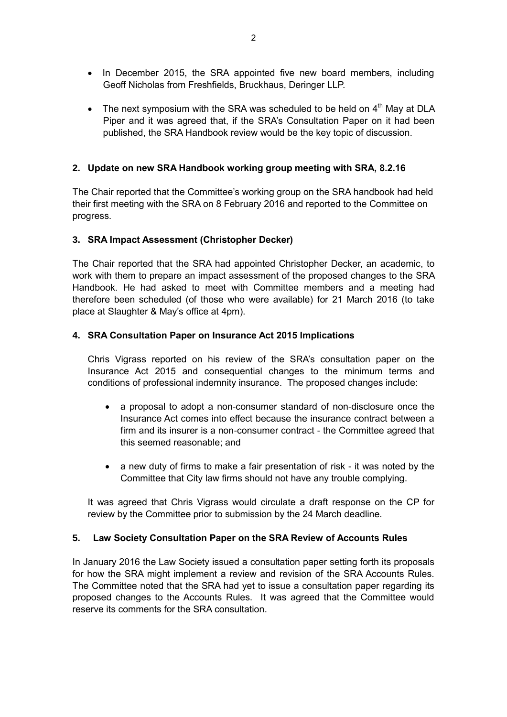- In December 2015, the SRA appointed five new board members, including Geoff Nicholas from Freshfields, Bruckhaus, Deringer LLP.
- The next symposium with the SRA was scheduled to be held on  $4<sup>th</sup>$  May at DLA Piper and it was agreed that, if the SRA's Consultation Paper on it had been published, the SRA Handbook review would be the key topic of discussion.

# **2. Update on new SRA Handbook working group meeting with SRA, 8.2.16**

The Chair reported that the Committee's working group on the SRA handbook had held their first meeting with the SRA on 8 February 2016 and reported to the Committee on progress.

### **3. SRA Impact Assessment (Christopher Decker)**

The Chair reported that the SRA had appointed Christopher Decker, an academic, to work with them to prepare an impact assessment of the proposed changes to the SRA Handbook. He had asked to meet with Committee members and a meeting had therefore been scheduled (of those who were available) for 21 March 2016 (to take place at Slaughter & May's office at 4pm).

#### **4. SRA Consultation Paper on Insurance Act 2015 Implications**

Chris Vigrass reported on his review of the SRA's consultation paper on the Insurance Act 2015 and consequential changes to the minimum terms and conditions of professional indemnity insurance. The proposed changes include:

- a proposal to adopt a non-consumer standard of non-disclosure once the Insurance Act comes into effect because the insurance contract between a firm and its insurer is a non-consumer contract - the Committee agreed that this seemed reasonable; and
- a new duty of firms to make a fair presentation of risk it was noted by the Committee that City law firms should not have any trouble complying.

It was agreed that Chris Vigrass would circulate a draft response on the CP for review by the Committee prior to submission by the 24 March deadline.

### **5. Law Society Consultation Paper on the SRA Review of Accounts Rules**

In January 2016 the Law Society issued a consultation paper setting forth its proposals for how the SRA might implement a review and revision of the SRA Accounts Rules. The Committee noted that the SRA had yet to issue a consultation paper regarding its proposed changes to the Accounts Rules. It was agreed that the Committee would reserve its comments for the SRA consultation.